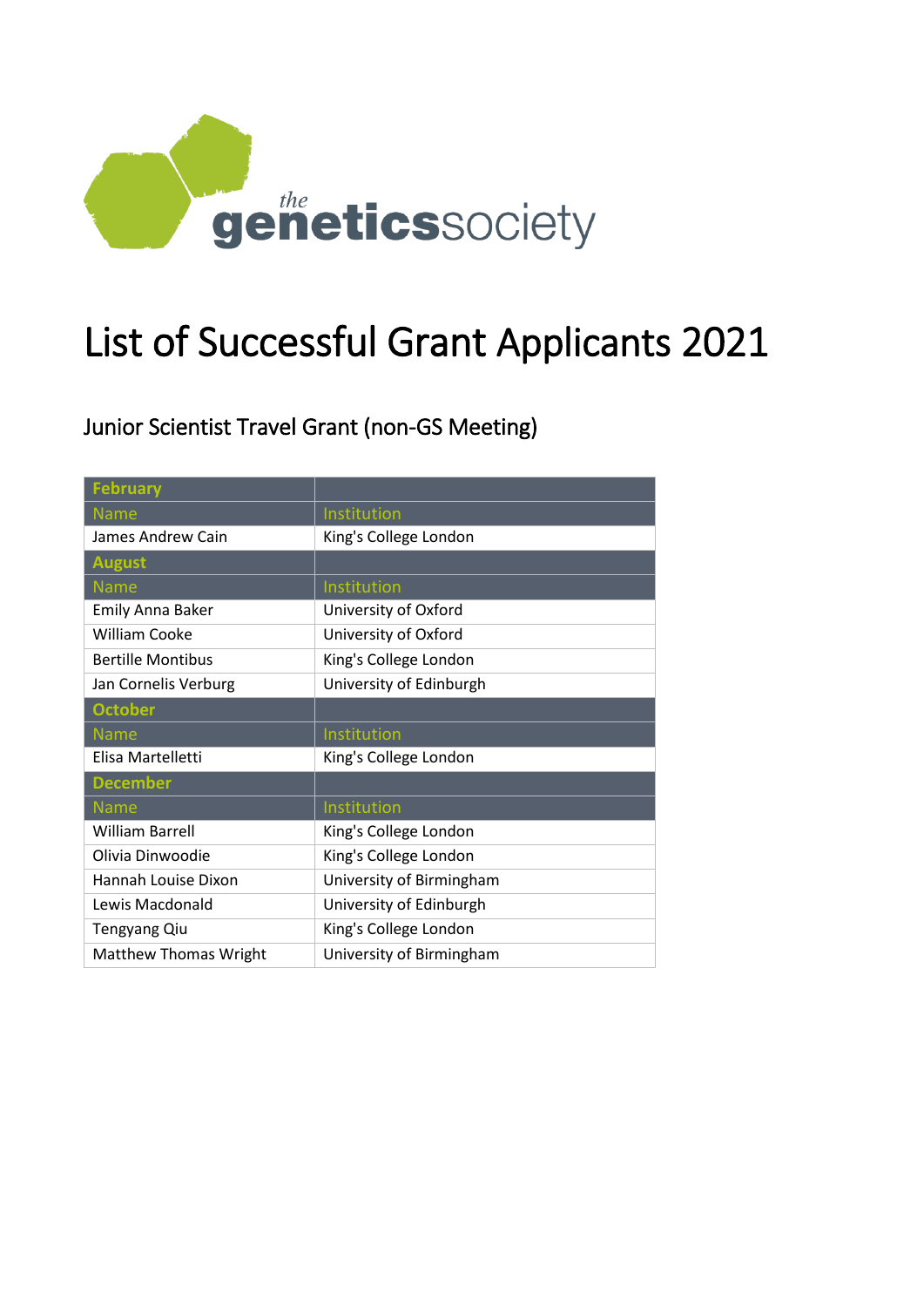

# List of Successful Grant Applicants 2021

Junior Scientist Travel Grant (non-GS Meeting)

| <b>February</b>              |                          |
|------------------------------|--------------------------|
| <b>Name</b>                  | Institution              |
| James Andrew Cain            | King's College London    |
| <b>August</b>                |                          |
| <b>Name</b>                  | Institution              |
| <b>Emily Anna Baker</b>      | University of Oxford     |
| <b>William Cooke</b>         | University of Oxford     |
| <b>Bertille Montibus</b>     | King's College London    |
| Jan Cornelis Verburg         | University of Edinburgh  |
| <b>October</b>               |                          |
| <b>Name</b>                  | Institution              |
| Elisa Martelletti            | King's College London    |
| <b>December</b>              |                          |
| <b>Name</b>                  | Institution              |
| <b>William Barrell</b>       | King's College London    |
| Olivia Dinwoodie             | King's College London    |
| Hannah Louise Dixon          | University of Birmingham |
| Lewis Macdonald              | University of Edinburgh  |
| <b>Tengyang Qiu</b>          | King's College London    |
| <b>Matthew Thomas Wright</b> | University of Birmingham |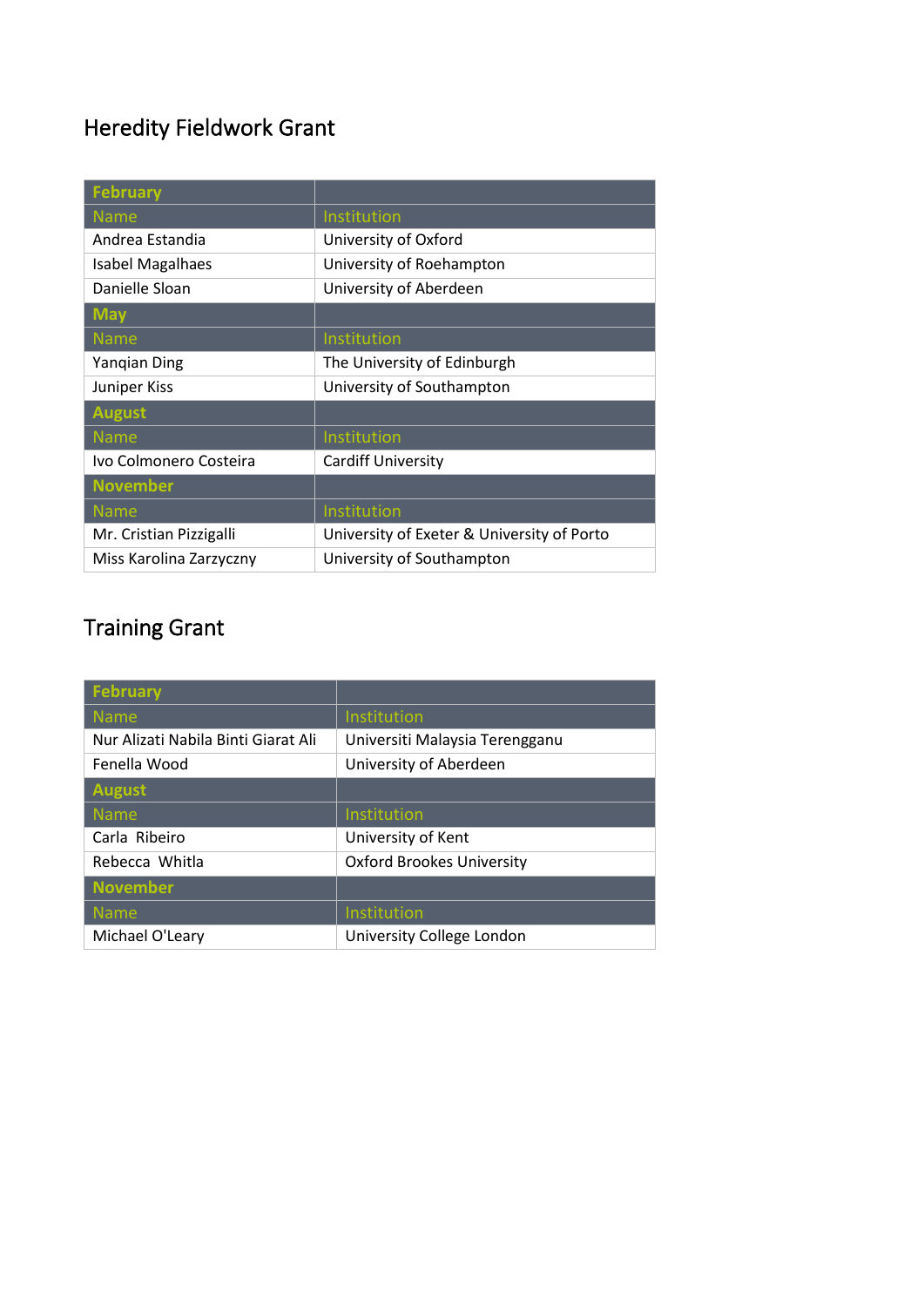## Heredity Fieldwork Grant

| <b>February</b>         |                                            |
|-------------------------|--------------------------------------------|
| <b>Name</b>             | Institution                                |
| Andrea Estandia         | University of Oxford                       |
| <b>Isabel Magalhaes</b> | University of Roehampton                   |
| Danielle Sloan          | University of Aberdeen                     |
| <b>May</b>              |                                            |
| <b>Name</b>             | Institution                                |
| Yangian Ding            | The University of Edinburgh                |
| Juniper Kiss            | University of Southampton                  |
| <b>August</b>           |                                            |
| <b>Name</b>             | Institution                                |
| Ivo Colmonero Costeira  | <b>Cardiff University</b>                  |
| <b>November</b>         |                                            |
| <b>Name</b>             | Institution                                |
| Mr. Cristian Pizzigalli | University of Exeter & University of Porto |
| Miss Karolina Zarzyczny | University of Southampton                  |

# Training Grant

| <b>February</b>                     |                                  |
|-------------------------------------|----------------------------------|
| <b>Name</b>                         | Institution                      |
| Nur Alizati Nabila Binti Giarat Ali | Universiti Malaysia Terengganu   |
| Fenella Wood                        | University of Aberdeen           |
| <b>August</b>                       |                                  |
| <b>Name</b>                         | Institution                      |
| Carla Ribeiro                       | University of Kent               |
| Rebecca Whitla                      | <b>Oxford Brookes University</b> |
| <b>November</b>                     |                                  |
| <b>Name</b>                         | Institution                      |
| Michael O'Leary                     | University College London        |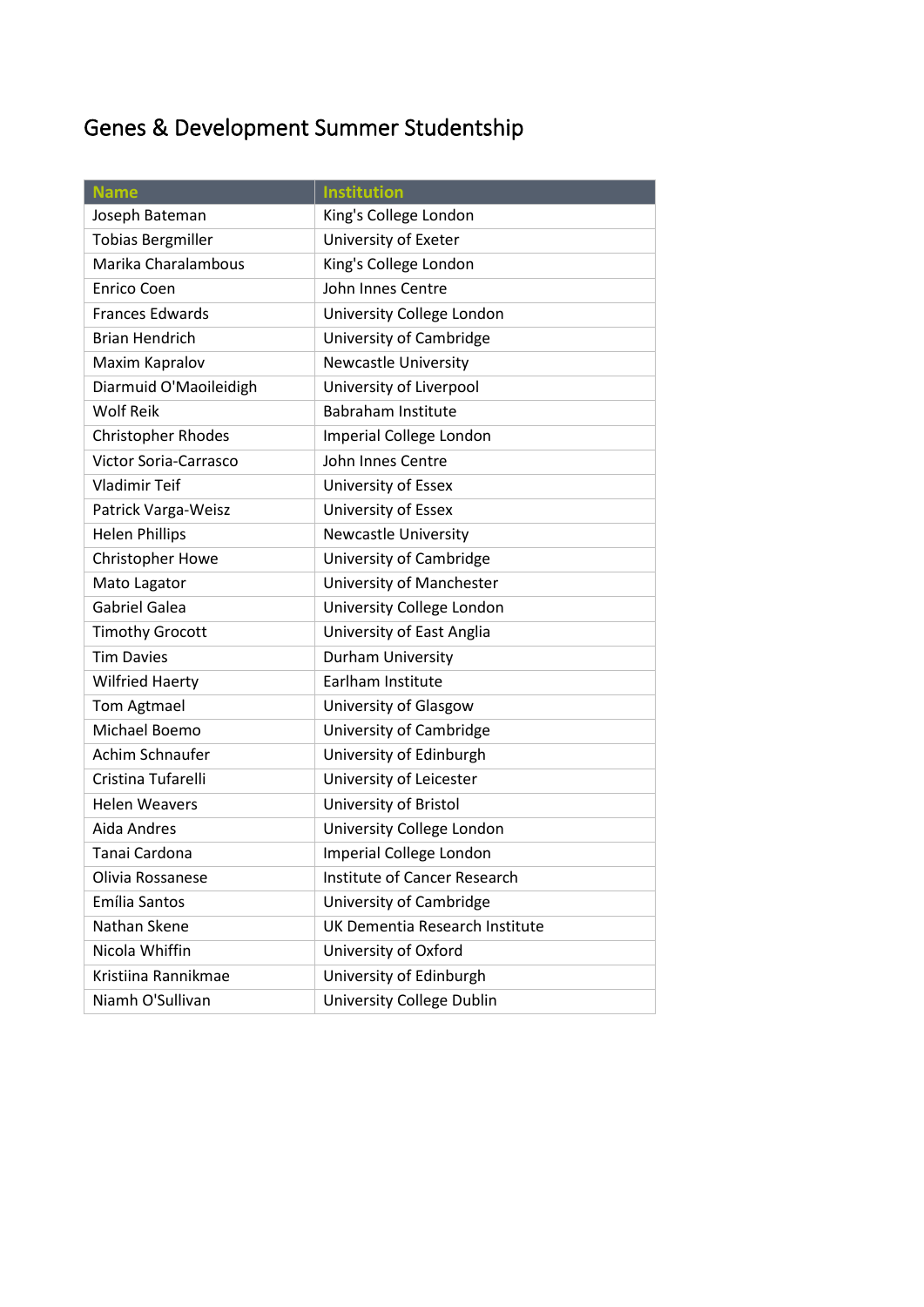# Genes & Development Summer Studentship

| <b>Name</b>                  | <b>Institution</b>             |
|------------------------------|--------------------------------|
| Joseph Bateman               | King's College London          |
| <b>Tobias Bergmiller</b>     | University of Exeter           |
| Marika Charalambous          | King's College London          |
| <b>Enrico Coen</b>           | John Innes Centre              |
| <b>Frances Edwards</b>       | University College London      |
| <b>Brian Hendrich</b>        | University of Cambridge        |
| Maxim Kapralov               | <b>Newcastle University</b>    |
| Diarmuid O'Maoileidigh       | University of Liverpool        |
| <b>Wolf Reik</b>             | <b>Babraham Institute</b>      |
| <b>Christopher Rhodes</b>    | Imperial College London        |
| <b>Victor Soria-Carrasco</b> | John Innes Centre              |
| <b>Vladimir Teif</b>         | University of Essex            |
| Patrick Varga-Weisz          | University of Essex            |
| <b>Helen Phillips</b>        | Newcastle University           |
| Christopher Howe             | University of Cambridge        |
| Mato Lagator                 | University of Manchester       |
| <b>Gabriel Galea</b>         | University College London      |
| <b>Timothy Grocott</b>       | University of East Anglia      |
| <b>Tim Davies</b>            | Durham University              |
| <b>Wilfried Haerty</b>       | Earlham Institute              |
| <b>Tom Agtmael</b>           | University of Glasgow          |
| Michael Boemo                | University of Cambridge        |
| Achim Schnaufer              | University of Edinburgh        |
| Cristina Tufarelli           | University of Leicester        |
| <b>Helen Weavers</b>         | University of Bristol          |
| Aida Andres                  | University College London      |
| Tanai Cardona                | Imperial College London        |
| Olivia Rossanese             | Institute of Cancer Research   |
| Emília Santos                | University of Cambridge        |
| Nathan Skene                 | UK Dementia Research Institute |
| Nicola Whiffin               | University of Oxford           |
| Kristiina Rannikmae          | University of Edinburgh        |
| Niamh O'Sullivan             | University College Dublin      |